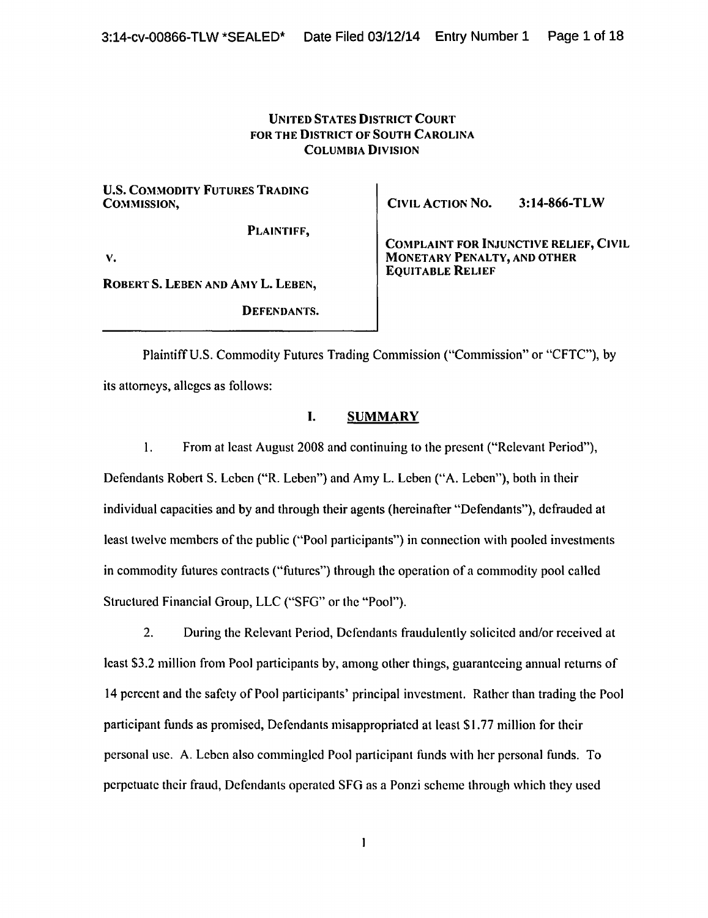## UNITED STATES DISTRICT COURT FOR THE DISTRICT OF SOUTH CAROLINA COLUMBIA DIVISION

U.S. COMMODITY FUTURES TRADING<br>COMMISSION.

PLAINTIFF,

CIVIL ACTION NO. 3:14-866-TLW

EQUITABLE RELIEF

COMPLAINT FOR INJUNCTIVE RELIEF, CIVIL MONETARY PENALTY, AND OTHER

v.

ROBERTS. LEBEN AND AMYL. LEBEN,

DEFENDANTS.

Plaintiff U.S. Commodity Futures Trading Commission ("Commission" or "CFTC"), by its attorneys, alleges as follows:

## I. SUMMARY

1. From at least August 2008 and continuing to the present ("Relevant Period"), Defendants Robert S. Leben ("R. Leben") and Amy L. Leben ("A. Leben"), both in their individual capacities and by and through their agents (hereinafter "Defendants"), defrauded at least twelve members of the public ("Pool participants") in connection with pooled investments in commodity futures contracts ("futures") through the operation of a commodity pool called Structured Financial Group, LLC ("SFG" or the "Pool").

2. During the Relevant Period, Defendants fraudulently solicited and/or received at least \$3.2 million from Pool participants by, among other things, guaranteeing annual returns of 14 percent and the safety of Pool participants' principal investment. Rather than trading the Pool participant funds as promised, Defendants misappropriated at least \$1.77 million for their personal usc. A. Leben also commingled Pool participant funds with her personal funds. To perpetuate their fraud, Defendants operated SFG as a Ponzi scheme through which they used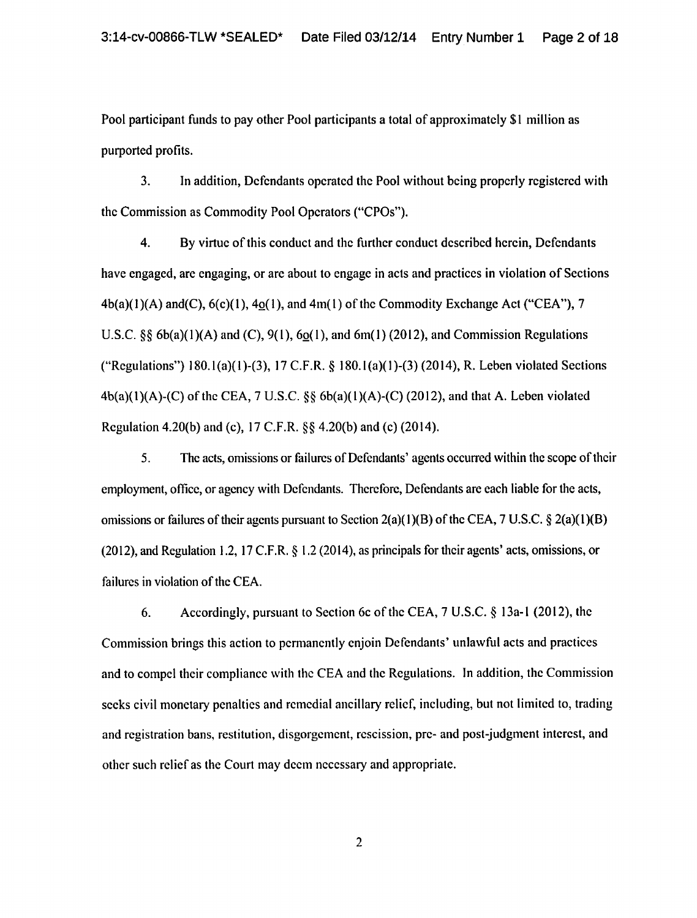Pool participant funds to pay other Pool participants a total of approximately \$1 million as purported profits.

3. In addition, Defendants operated the Pool without being properly registered with the Commission as Commodity Pool Operators ("CPOs").

4. By virtue of this conduct and the further conduct described herein, Defendants have engaged, are engaging, or are about to engage in acts and practices in violation of Sections  $4b(a)(1)(A)$  and(C),  $6(c)(1)$ ,  $4o(1)$ , and  $4m(1)$  of the Commodity Exchange Act ("CEA"), 7 U.S.C.  $\S$ § 6b(a)(1)(A) and (C), 9(1), 6o(1), and 6m(1) (2012), and Commission Regulations ("Regulations") 180.1(a)(l)-(3), 17 C.F.R. *§* 180.l(a)(l)-(3) (2014), R. Leben violated Sections  $4b(a)(1)(A)-(C)$  of the CEA, 7 U.S.C. §§  $6b(a)(1)(A)-(C)$  (2012), and that A. Leben violated Regulation 4.20(b) and (c), 17 C.F.R. §§ 4.20(b) and (c) (2014).

5. The acts, omissions or failures of Defendants' agents occurred within the scope of their employment, office, or agency with Defendants. Therefore, Defendants are each liable for the acts, omissions or failures of their agents pursuant to Section 2(a)( 1 )(B) of the CEA, 7 U.S.C. *§* 2(a)(l )(B) (2012), and Regulation 1.2, 17 C.F.R. § 1.2 (2014), as principals for their agents' acts, omissions, or failures in violation of the CEA.

6. Accordingly, pursuant to Section 6c ofthe CEA, 7 U.S.C. *§* 13a-1 (2012), the Commission brings this action to permanently enjoin Defendants' unlawful acts and practices and to compel their compliance with the CEA and the Regulations. In addition, the Commission seeks civil monetary penalties and remedial ancillary relief, including, but not limited to, trading and registration bans, restitution, disgorgement, rescission, pre- and post-judgment interest, and other such relief as the Court may deem necessary and appropriate.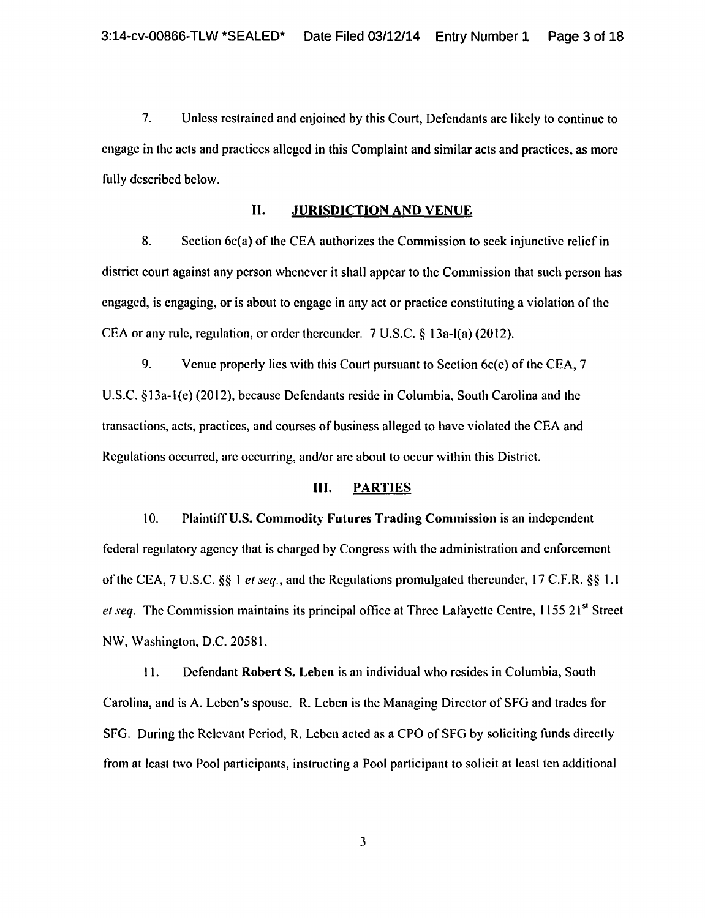7. Unless restrained and enjoined by this Court, Defendants arc likely to continue to engage in the acts and practices alleged in this Complaint and similar acts and practices, as more fully described below.

## II. JURISDICTION AND VENUE

8. Section  $6c(a)$  of the CEA authorizes the Commission to seek injunctive relief in district court against any person whenever it shall appear to the Commission that such person has engaged, is engaging, or is about to engage in any act or practice constituting a violation of the CEA or any rule, regulation, or order thereunder. 7 U.S.C. § 13a-l(a) (2012).

9. Venue properly lies with this Court pursuant to Section 6c(e) of the CEA, 7 U.S.C. §13a-l(e) (2012}, because Defendants reside in Columbia, South Carolina and the transactions, acts, practices, and courses of business alleged to have violated the CEA and Regulations occurred, are occurring, and/or arc about to occur within this District.

#### III. PARTIES

10. Plaintiff U.S. Commodity Futures Trading Commission is an independent federal regulatory agency that is charged by Congress with the administration and enforcement of the CEA, 7 U.S.C. §§ I *et seq.,* and the Regulations promulgated thereunder, 17 C.F.R. *§§* 1.1 *et seq.* The Commission maintains its principal office at Three Lafayette Centre, 1155 21<sup>st</sup> Street NW, Washington, D.C. 20581.

II. Defendant Robert S. Leben is an individual who resides in Columbia, South Carolina, and is A. Leben's spouse. R. Leben is the Managing Director of SFG and trades for SFG. During the Relevant Period, R. Leben acted as a CPO of SFG by soliciting funds directly from at least two Pool participants, instructing a Pool participant to solicit at least ten additional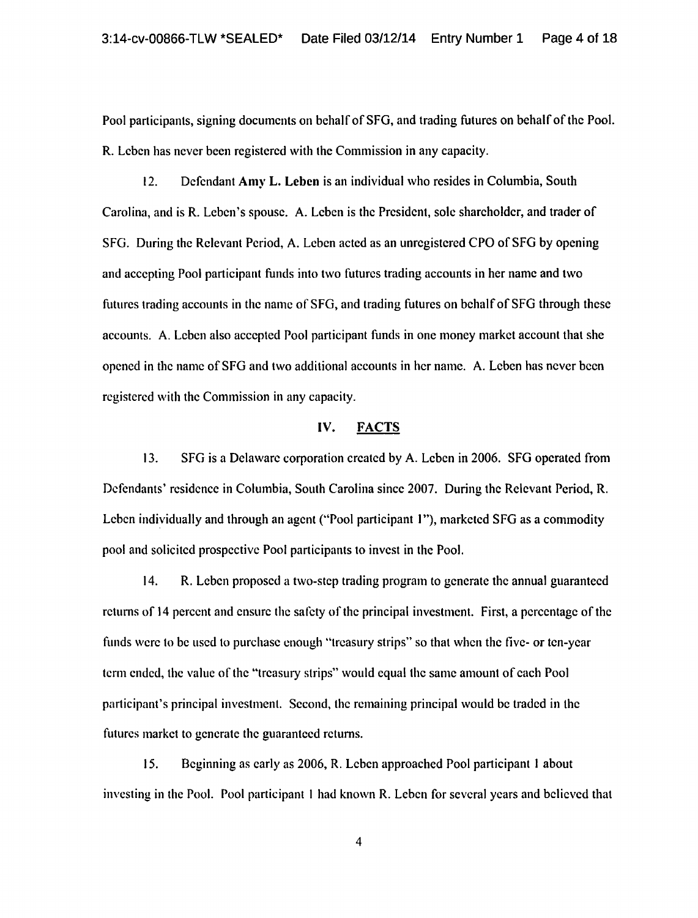Pool participants, signing documents on behalf of SFG, and trading futures on behalf of the Pool. R. Leben has never been registered with the Commission in any capacity.

12. Defendant Amy L. Leben is an individual who resides in Columbia, South Carolina, and is R. Leben's spouse. A. Leben is the President, sole shareholder, and trader of SFG. During the Relevant Period, A. Leben acted as an unregistered CPO of SFG by opening and accepting Pool participant funds into two futures trading accounts in her name and two futures trading accounts in the name of SFG, and trading futures on behalf of SFG through these accounts. A. Leben also accepted Pool participant funds in one money market account that she opened in the name of SFG and two additional accounts in her name. A. Leben has never been registered with the Commission in any capacity.

#### IV. FACTS

13. SFG is a Delaware corporation created by A. Leben in 2006. SFG operated from Defendants' residence in Columbia, South Carolina since 2007. During the Relevant Period, R. Leben individually and through an agent ("Pool participant 1"), marketed SFG as a commodity pool and solicited prospective Pool participants to invest in the Pool.

14. R. Leben proposed a two-step trading program to generate the annual guaranteed returns of 14 percent and ensure the safety of the principal investment. First, a percentage of the funds were to be used to purchase enough "treasury strips" so that when the five- or ten-year term ended, the value of the "treasury strips" would equal the same amount of each Pool participant's principal investment. Second, the remaining principal would be traded in the futures market to generate the guaranteed returns.

15. Beginning as early as 2006, R. Leben approached Pool participant 1 about investing in the Pool. Pool participant I had known R. Leben for several years and believed that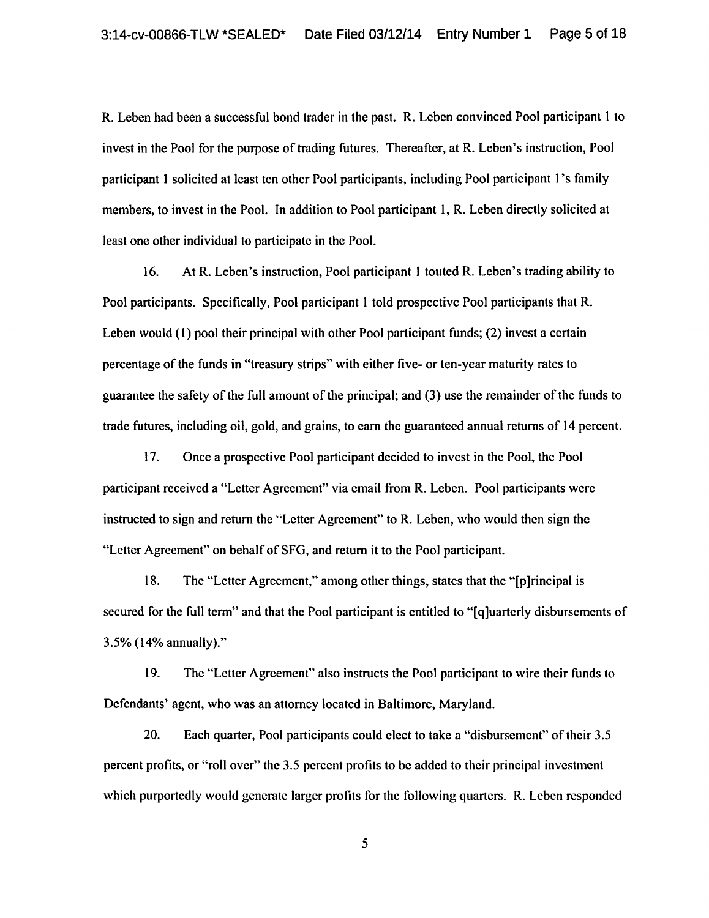R. Leben had been a successful bond trader in the past. R. Leben convinced Pool participant 1 to invest in the Pool for the purpose of trading futures. Thereafter, at R. Leben's instruction, Pool participant I solicited at least ten other Pool participants, including Pool participant 1 's family members, to invest in the Pool. In addition to Pool participant I, R. Leben directly solicited at least one other individual to participate in the Pool.

16. At R. Leben's instruction, Pool participant I touted R. Leben's trading ability to Pool participants. Specifically, Pool participant I told prospective Pool participants that R. Leben would (1) pool their principal with other Pool participant funds; (2) invest a certain percentage of the funds in "treasury strips" with either five- or ten-year maturity rates to guarantee the safety of the full amount of the principal; and (3) use the remainder of the funds to trade futures, including oil, gold, and grains, to cam the guaranteed annual returns of 14 percent.

17. Once a prospective Pool participant decided to invest in the Pool, the Pool participant received a "Letter Agreement" via email from R. Leben. Pool participants were instructed to sign and return the "Letter Agreement" to R. Leben, who would then sign the "Letter Agreement" on behalf ofSFG, and return it to the Pool participant.

18. The "Letter Agreement," among other things, states that the "[p ]rincipal is secured for the full term" and that the Pool participant is entitled to "[q]uarterly disbursements of 3.5% (14% annually)."

19. The "Letter Agreement" also instructs the Pool participant to wire their funds to Defendants' agent, who was an attorney located in Baltimore, Maryland.

20. Each quarter, Pool participants could elect to take a "disbursement" of their 3.5 percent profits, or "roll over" the 3.5 percent profits to be added to their principal investment which purportedly would generate larger profits for the following quarters. R. Leben responded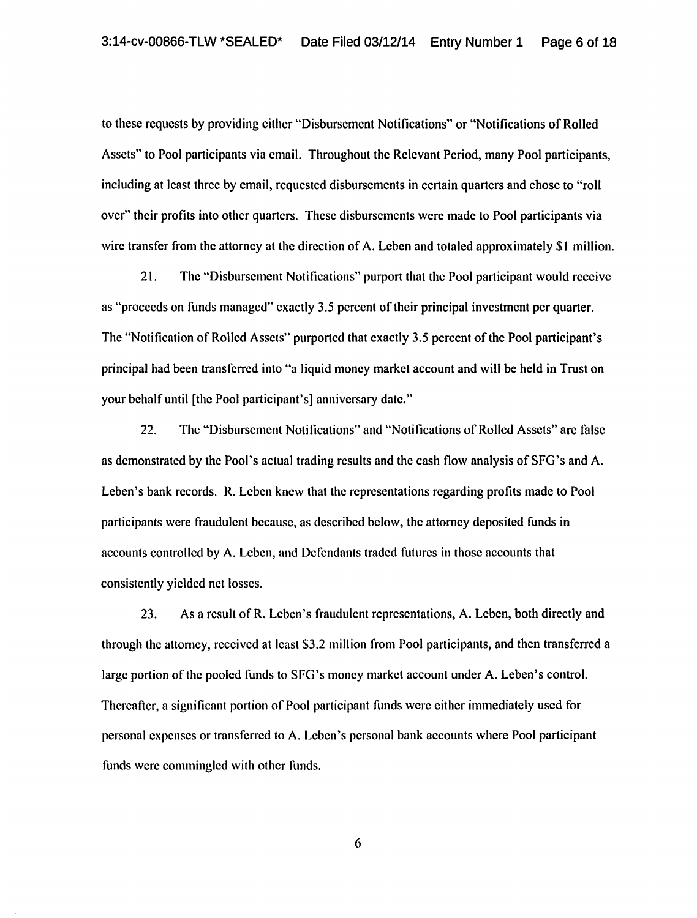to these requests by providing either "Disbursement Notifications" or "Notifications of Rolled Assets" to Pool participants via email. Throughout the Relevant Period, many Pool participants, including at least three by email, requested disbursements in certain quarters and chose to "roll over" their profits into other quarters. These disbursements were made to Pool participants via wire transfer from the attorney at the direction of A. Leben and totaled approximately \$1 million.

21. The "Disbursement Notifications" purport that the Pool participant would receive as "proceeds on funds managed" exactly 3.5 percent of their principal investment per quarter. The "Notification of Rolled Assets" purported that exactly 3.5 percent of the Pool participant's principal had been transferred into "a liquid money market account and will be held in Trust on your behalf until [the Pool participant's] anniversary date."

22. The "Disbursement Notifications" and "Notifications of Rolled Assets" are false as demonstrated by the Pool's actual trading results and the cash flow analysis of SFG's and A. Leben's bank records. R. Leben knew that the representations regarding profits made to Pool participants were fraudulent because, as described below, the attorney deposited funds in accounts controlled by A. Leben, and Defendants traded futures in those accounts that consistently yielded net losses.

23. As a result of R. Leben's fraudulent representations, A. Leben, both directly and through the attorney, received at least S3.2 million from Pool participants, and then transferred a large portion of the pooled funds to SFG's money market account under A. Leben's control. Thereafter, a significant portion of Pool participant funds were either immediately used for personal expenses or transferred to A. Leben's personal bank accounts where Pool participant funds were commingled with other funds.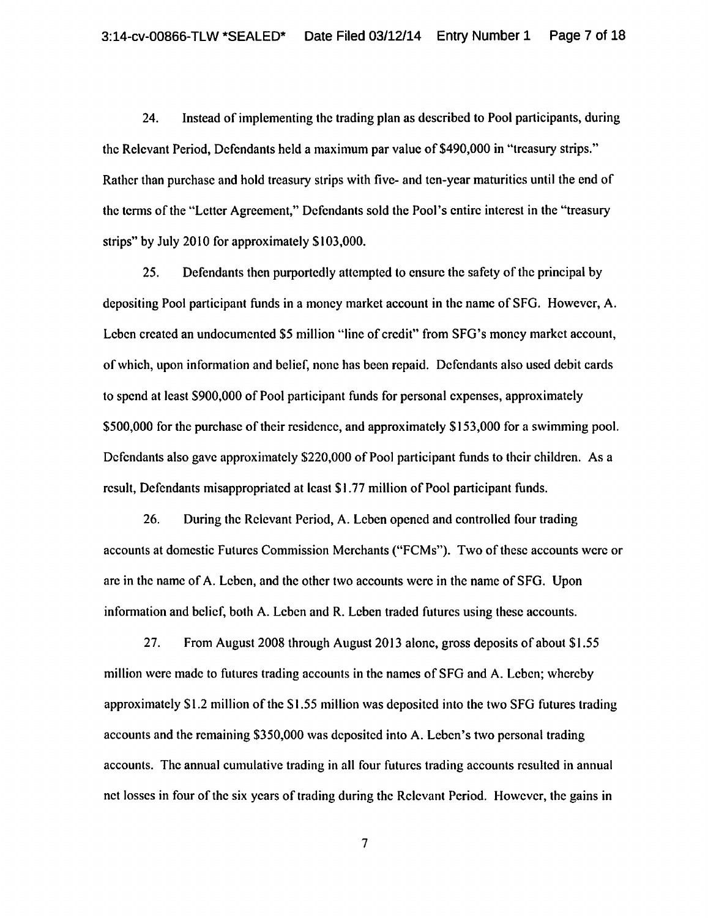24. Instead of implementing the trading plan as described to Pool participants, during the Relevant Period, Defendants held a maximum par value of \$490,000 in "treasury strips." Rather than purchase and hold treasury strips with five- and ten-year maturities until the end of the terms of the "Letter Agreement," Defendants sold the Pool's entire interest in the "treasury strips" by July 2010 for approximately \$103,000.

25. Defendants then purportedly attempted to ensure the safety of the principal by depositing Pool participant funds in a money market account in the name of SFG. However, A. Leben created an undocumented \$5 million "line of credit" from SFG's money market account, of which, upon information and belief, none has been repaid. Defendants also used debit cards to spend at least \$900,000 of Pool participant funds for personal expenses, approximately \$500,000 for the purchase of their residence, and approximately \$153,000 for a swimming pool. Defendants also gave approximately \$220,000 of Pool participant funds to their children. As a result, Defendants misappropriated at least \$1.77 million of Pool participant funds.

26. During the Relevant Period, A. Leben opened and controlled four trading accounts at domestic Futures Commission Merchants ("FCMs"). Two of these accounts were or arc in the name of A. Leben, and the other two accounts were in the name ofSFG. Upon information and belief, both A. Leben and R. Leben traded futures using these accounts.

27. From August 2008 through August 2013 alone, gross deposits of about \$1.55 million were made to futures trading accounts in the names of SFG and A. Leben; whereby approximately \$1.2 million of the \$1.55 million was deposited into the two SFG futures trading accounts and the remaining \$350,000 was deposited into A. Leben's two personal trading accounts. The annual cumulative trading in all four futures trading accounts resulted in annual net losses in four of the six years of trading during the Relevant Period. However, the gains in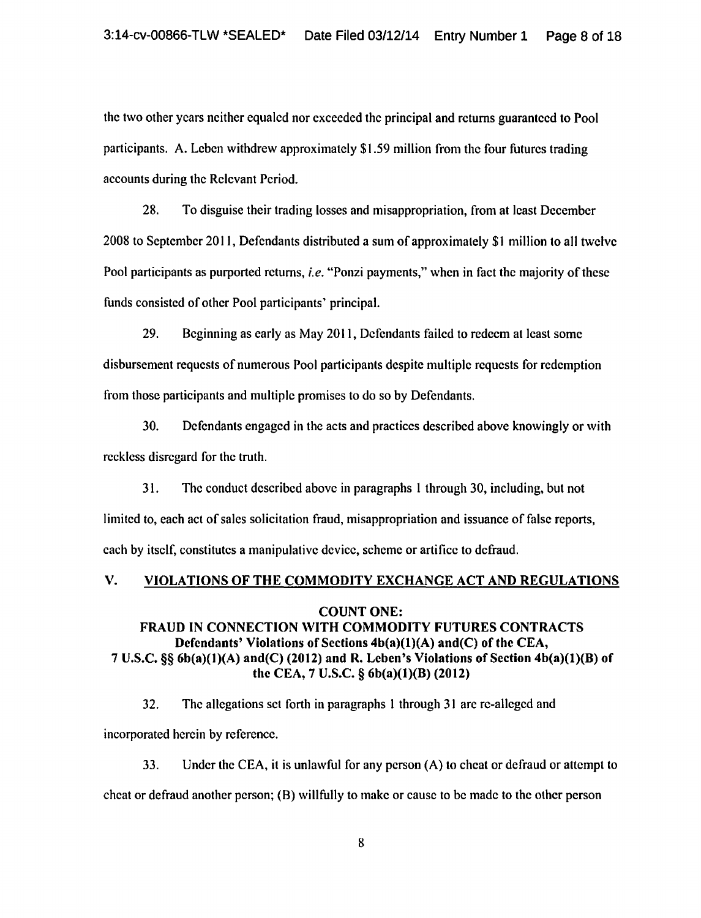the two other years neither equaled nor exceeded the principal and returns guaranteed to Pool participants. A. Leben withdrew approximately \$1.59 million from the four futures trading accounts during the Relevant Period.

28. To disguise their trading losses and misappropriation, from at least December 2008 to September 20 II, Defendants distributed a sum of approximately \$I million to all twelve Pool participants as purported returns, *i.e.* "Ponzi payments," when in fact the majority of these funds consisted of other Pool participants' principal.

29. Beginning as early as May 2011, Defendants failed to redeem at least some disbursement requests of numerous Pool participants despite multiple requests for redemption from those participants and multiple promises to do so by Defendants.

30. Defendants engaged in the acts and practices described above knowingly or with reckless disregard for the truth.

31. The conduct described above in paragraphs 1 through 30, including, but not limited to, each act of sales solicitation fraud, misappropriation and issuance of false reports, each by itself, constitutes a manipulative device, scheme or artifice to defraud.

# V. VIOLATIONS OF THE COMMODITY EXCHANGE ACT AND REGULATIONS

## COUNT ONE:

## FRAUD IN CONNECTION WITH COMMODITY FUTURES CONTRACTS Defendants' Violations of Sections  $4b(a)(1)(A)$  and(C) of the CEA, 7 U.S.C. §§ 6b(a)(1)(A) and(C) (2012) and R. Leben's Violations of Section 4b(a)(l)(B) of the CEA, 7 U.S.C. § 6b(a)(1)(B) (2012)

32. The allegations set forth in paragraphs I through 31 are re-alleged and incorporated herein by reference.

33. Under the CEA, it is unlawful for any person (A) to cheat or defraud or attempt to cheat or defraud another person;  $(B)$  willfully to make or cause to be made to the other person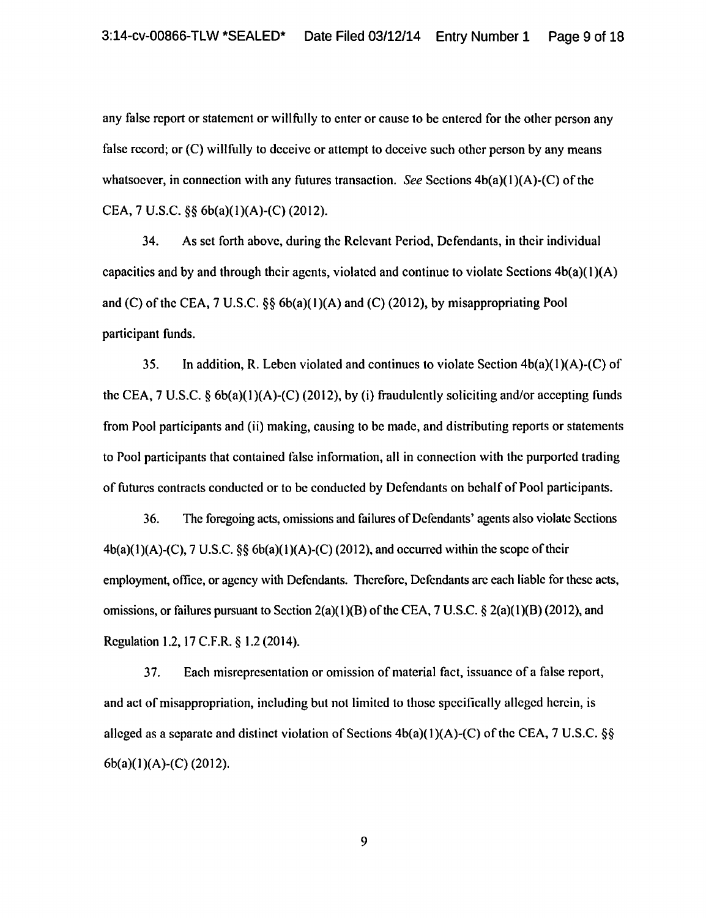any false report or statement or willfully to enter or cause to be entered for the other person any false record; or (C) willfully to deceive or attempt to deceive such other person by any means whatsoever, in connection with any futures transaction. *See* Sections 4b(a)(1)(A)-(C) of the CEA, 7 U.S.C. §§ 6b(a)(l)(A)-(C) (2012).

34. As set forth above, during the Relevant Period, Defendants, in their individual capacities and by and through their agents, violated and continue to violate Sections  $4b(a)(1)(A)$ and (C) of the CEA,  $7 \text{ U.S.C. }$  §§  $6b(a)(1)(A)$  and (C) (2012), by misappropriating Pool participant funds.

35. In addition, R. Leben violated and continues to violate Section  $4b(a)(1)(A)-(C)$  of the CEA,  $7 \text{ U.S.C. } \S 6b(a)(1)(A)-(C) (2012)$ , by (i) fraudulently soliciting and/or accepting funds from Pool participants and (ii) making, causing to be made, and distributing reports or statements to Pool participants that contained false information, all in connection with the purported trading of futures contracts conducted or to be conducted by Defendants on behalf of Pool participants.

36. The foregoing acts, omissions and failures of Defendants' agents also violate Sections  $4b(a)(1)(A)-(C)$ , 7 U.S.C. §§  $6b(a)(1)(A)-(C)$  (2012), and occurred within the scope of their employment, office, or agency with Defendants. Therefore, Defendants arc each liable for these acts, omissions, or failures pursuant to Section 2(a)(1)(B) of the CEA, 7 U.S.C.  $\S$  2(a)(1)(B) (2012), and Regulation 1.2, 17 C.F.R. § 1.2 (2014).

3 7. Each misrepresentation or omission of material fact, issuance of a false report, and act of misappropriation, including but not limited to those specifically alleged herein, is alleged as a separate and distinct violation of Sections  $4b(a)(1)(A)-(C)$  of the CEA, 7 U.S.C. §§ 6b(a)(I)(A)-(C) (2012).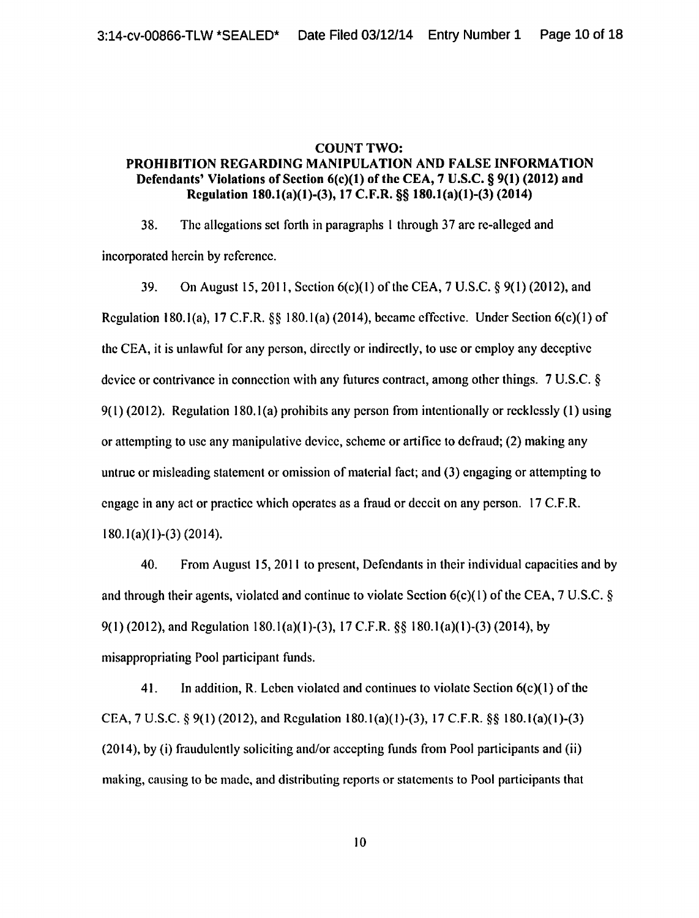## COUNT TWO: PROHIBITION REGARDING MANIPULATION AND FALSE INFORMATION Defendants' Violations of Section 6(c)(1) of the CEA, 7 U.S.C. § 9(1) (2012) and Regulation 180.1(a)(l)-(3), 17 C.F.R. §§ 180.1(a)(l)-(3) (2014)

38. The allegations set forth in paragraphs 1 through 37 arc re-alleged and incorporated herein by reference.

39. On August 15, 2011, Section  $6(c)(1)$  of the CEA, 7 U.S.C. § 9(1) (2012), and Regulation 180.1(a), 17 C.F.R. §§ 180.1(a) (2014), became effective. Under Section  $6(c)(1)$  of the CEA, it is unlawful for any person, directly or indirectly, to usc or employ any deceptive device or contrivance in connection with any futures contract, among other things. 7 U.S.C. §  $9(1)$  (2012). Regulation 180.1(a) prohibits any person from intentionally or recklessly (1) using or attempting to usc any manipulative device, scheme or artifice to defraud; (2) making any untrue or misleading statement or omission of material fact; and (3) engaging or attempting to engage in any act or practice which operates as a fraud or deceit on any person. 17 C.F.R. 180.1(a)(l)-(3) (2014).

40. From August 15, 2011 to present, Defendants in their individual capacities and by and through their agents, violated and continue to violate Section 6(c)( 1) of the CEA, 7 U.S.C. § 9(1) (2012), and Regulation 180.1(a)(1)-(3), 17 C.F.R. §§ 180.1(a)(1)-(3) (2014), by misappropriating Pool participant funds.

41. In addition, R. Leben violated and continues to violate Section  $6(c)(1)$  of the CEA, 7 U.S.C. § 9(1) (2012), and Regulation 180.1(a)(1)-(3), 17 C.F.R. §§ 180.l(a)(l)-(3) (2014), by (i) fraudulently soliciting and/or accepting funds from Pool participants and (ii) making, causing to be made, and distributing reports or statements to Pool participants that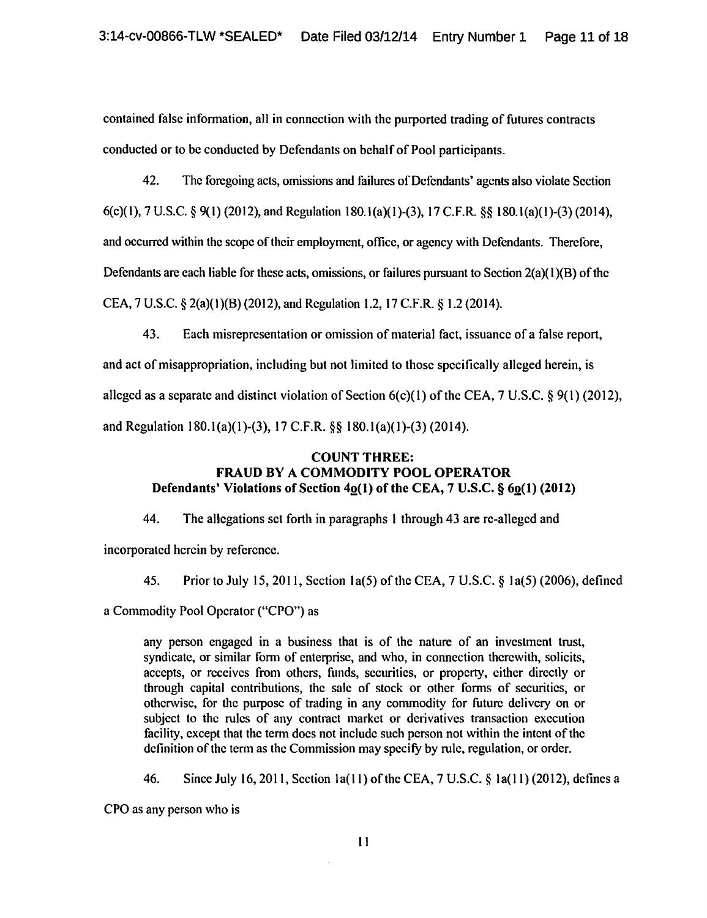contained false information, all in connection with the purported trading of futures contracts conducted or to be conducted by Defendants on behalf of Pool participants.

42. The foregoing acts, omissions and failures of Defendants' agents also violate Section 6(c)(l), 7 U.S.C. § 9(1) (2012), and Regulation 180.l(a)(l)-(3), 17 C.F.R. §§ 180.1(a)(l)-(3) (2014), and occurred within the scope of their employment, office, or agency with Defendants. Therefore, Defendants are each liable for these acts, omissions, or failures pursuant to Section 2(a)( 1 )(B) of the CEA, 7 U.S.C. § 2(a)(I)(B) (2012), and Regulation 1.2, 17 C.F.R. § 1.2 (2014).

43. Each misrepresentation or omission of material fact, issuance of a false report,

and act of misappropriation, including but not limited to those specifically alleged herein, is alleged as a separate and distinct violation of Section  $6(c)(1)$  of the CEA, 7 U.S.C. § 9(1) (2012), and Regulation 180.1(a)(1)-(3), 17 C.F.R. §§ 180.l(a)(l)-(3) (2014).

## COUNT THREE: FRAUD BY A COMMODITY POOL OPERATOR Defendants' Violations of Section  $40(1)$  of the CEA,  $7$  U.S.C.  $§ 60(1) (2012)$

44. The allegations set forth in paragraphs 1 through 43 are rc-allegcd and

incorporated herein by reference.

45. Prior to July 15,2011, Section la(S) of the CEA, 7 U.S.C. § 1a(5) (2006), defined

a Commodity Pool Operator ("CPO") as

any person engaged in a business that is of the nature of an investment trust, syndicate, or similar form of enterprise, and who, in connection therewith, solicits, accepts, or receives from others, funds, securities, or property, either directly or through capital contributions, the sale of stock or other forms of securities, or otherwise, for the purpose of trading in any commodity for future delivery on or subject to the rules of any contract market or derivatives transaction execution facility, except that the tenn docs not include such person not within the intent of the definition of the term as the Commission may specify by rule, regulation, or order.

46. Since July 16, 2011, Section 1a(11) of the CEA, 7 U.S.C. § 1a(11) (2012), defines a

CPO as any person who is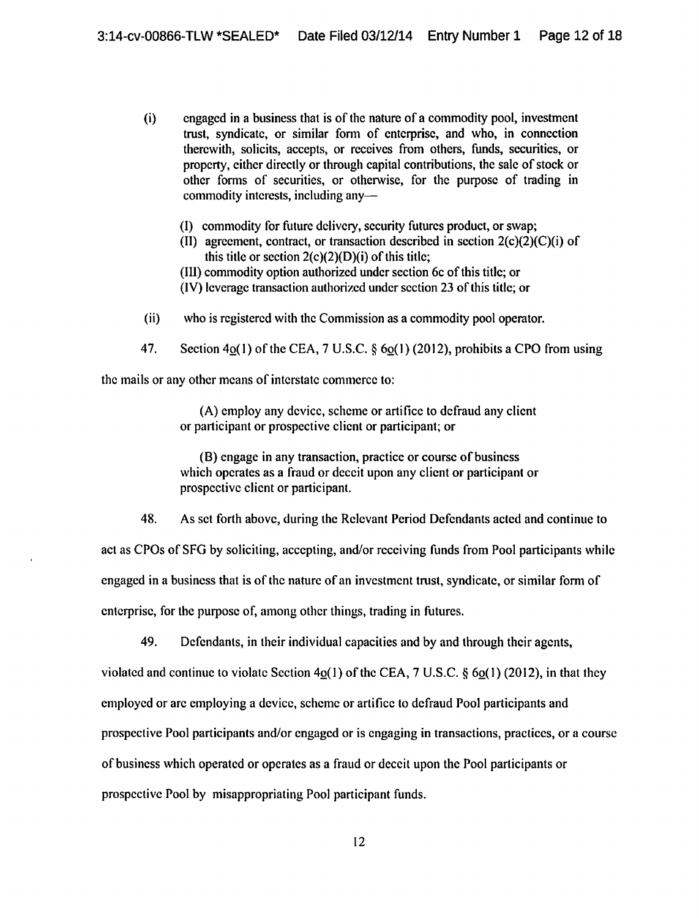- (i) engaged in a business that is of the nature of a commodity pool, investment trust, syndicate, or similar fonn of enterprise, and who, in connection therewith, solicits, accepts, or receives from others, funds, securities, or property, either directly or through capital contributions, the sale of stock or other forms of securities, or otherwise, for the purpose of trading in commodity interests, including any-
	- (1) commodity for future delivery, security futures product, or swap;
	- (II) agreement, contract, or transaction described in section  $2(c)(2)(C)(i)$  of this title or section  $2(c)(2)(D)(i)$  of this title;
	- {Ill) commodity option authorized under section 6c of this title; or
	- (IV) leverage transaction authorized under section 23 of this title; or
- (ii) who is registered with the Commission as a commodity pool operator.
- 47. Section  $40(1)$  of the CEA, 7 U.S.C. §  $60(1)$  (2012), prohibits a CPO from using

the mails or any other means of interstate commerce to:

(A) employ any device, scheme or artifice to defraud any client or participant or prospective client or participant; or

(B) engage in any transaction, practice or course of business which operates as a fraud or deceit upon any client or participant or prospective client or participant.

48. As set forth above, during the Relevant Period Defendants acted and continue to

act as CPOs of SFG by soliciting, accepting, and/or receiving funds from Pool participants while engaged in a business that is of the nature of an investment trust, syndicate, or similar form of enterprise, for the purpose of, among other things, trading in futures.

49. Defendants, in their individual capacities and by and through their agents,

violated and continue to violate Section  $4o(1)$  of the CEA, 7 U.S.C. §  $6o(1)$  (2012), in that they

employed or arc employing a device, scheme or artifice to defraud Pool participants and

prospective Pool participants and/or engaged or is engaging in transactions, practices, or a course

of business which operated or operates as a fraud or deceit upon the Pool participants or

prospective Pool by misappropriating Pool participant funds.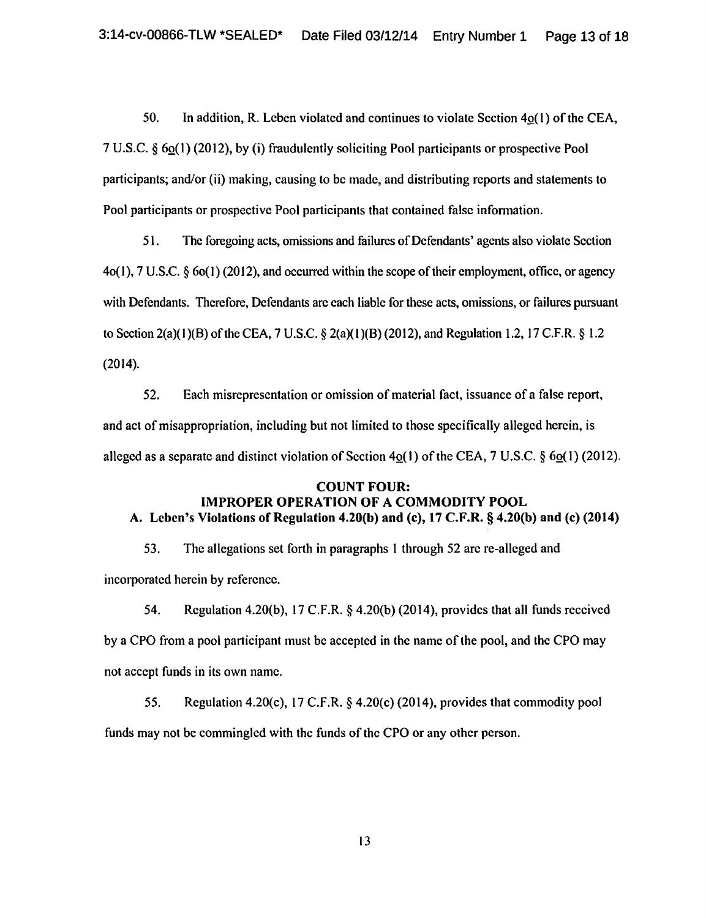50. In addition, R. Leben violated and continues to violate Section  $4o(1)$  of the CEA, 7 U.S.C.  $\S 6Q(1)$  (2012), by (i) fraudulently soliciting Pool participants or prospective Pool participants; and/or (ii) making, causing to be made, and distributing reports and statements to Pool participants or prospective Pool participants that contained false information.

51. The foregoing acts, omissions and failures of Defendants' agents also violate Section 4o(l), 7 U.S.C. § 6o(l) (2012), and occurred within the scope of their employment, office, or agency with Defendants. Therefore, Defendants arc each liable for these acts, omissions, or failures pursuant to Section 2(a)(1)(B) of the CEA, 7 U.S.C. § 2(a)(1)(B)(2012), and Regulation 1.2, 17 C.F.R. § 1.2 (2014).

52. Each misrepresentation or omission of material fact, issuance of a false report, and act of misappropriation, including but not limited to those specifically alleged herein, is alleged as a separate and distinct violation of Section  $4<sub>Q</sub>(1)$  of the CEA, 7 U.S.C. §  $6<sub>Q</sub>(1)$  (2012).

## COUNT FOUR: IMPROPER OPERATION OF A COMMODITY POOL A. Leben's Violations of Regulation 4.20(b) and (c), 17 C.F.R. § 4.20(b) and (c) (2014)

53. The allegations set forth in paragraphs I through 52 arc re-allcged and incorporated herein by reference.

54. Regulation 4.20(b), 17 C.F.R. § 4.20(b) (2014), provides that all funds received by a CPO from a pool participant must be accepted in the name of the pool, and the CPO may not accept funds in its own name.

55. Regulation 4.20(c), 17 C.F.R. § 4.20(c) (2014), provides that commodity pool funds may not be commingled with the funds of the CPO or any other person.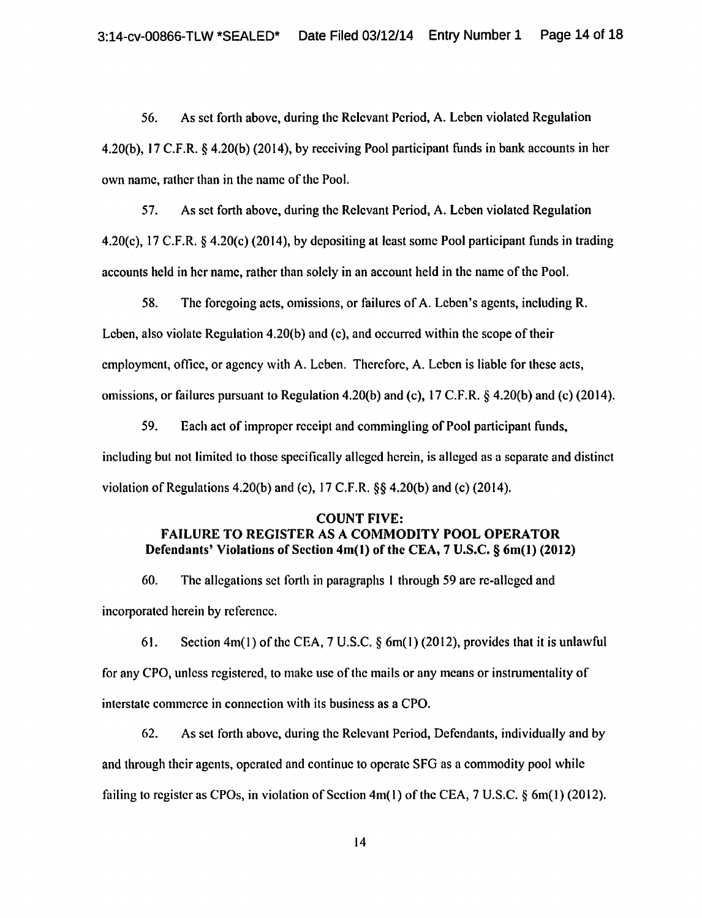56. As set forth above, during the Relevant Period, A. Leben violated Regulation 4.20(b), 17 C.F.R. § 4.20(b) (2014), by receiving Pool participant funds in bank accounts in her own name, rather than in the name of the Pool.

57. As set forth above, during the Relevant Period, A. Leben violated Regulation 4.20(c), 17 C.F.R. § 4.20(c) (2014), by depositing at least some Pool participant funds in trading accounts held in her name, rather than solely in an account held in the name of the Pool.

58. The foregoing acts, omissions, or failures of A. Leben's agents, including R. Leben, also violate Regulation 4.20(b) and (c), and occurred within the scope of their employment, office, or agency with A. Leben. Therefore, A. Leben is liable for these acts, omissions, or failures pursuant to Regulation 4.20(b) and (c), 17 C.F.R. § 4.20(b) and (c) (2014).

59. Each act of improper receipt and commingling of Pool participant funds, including but not limited to those specifically alleged herein, is alleged as a separate and distinct violation of Regulations 4.20(b) and (c),  $17 \text{ C.F.R.}$  §§ 4.20(b) and (c) (2014).

## COUNT FIVE: FAILURE TO REGISTER AS A COMMODITY POOL OPERATOR Defendants' Violations of Section 4m(1) of the CEA, 7 U.S.C. § 6m(1) (2012)

60. The allegations set forth in paragraphs I through 59 are re-alleged and incorporated herein by reference.

61. Section 4m(1) of the CEA,  $7 \text{ U.S.C.}$  § 6m(1) (2012), provides that it is unlawful for any CPO, unless registered, to make use of the mails or any means or instrumentality of interstate commerce in connection with its business as a CPO.

62. As set forth above, during the Relevant Period, Defendants, individually and by and through their agents, operated and continue to operate SFG as a commodity pool while failing to register as CPOs, in violation of Section  $4m(1)$  of the CEA, 7 U.S.C. § 6m(1) (2012).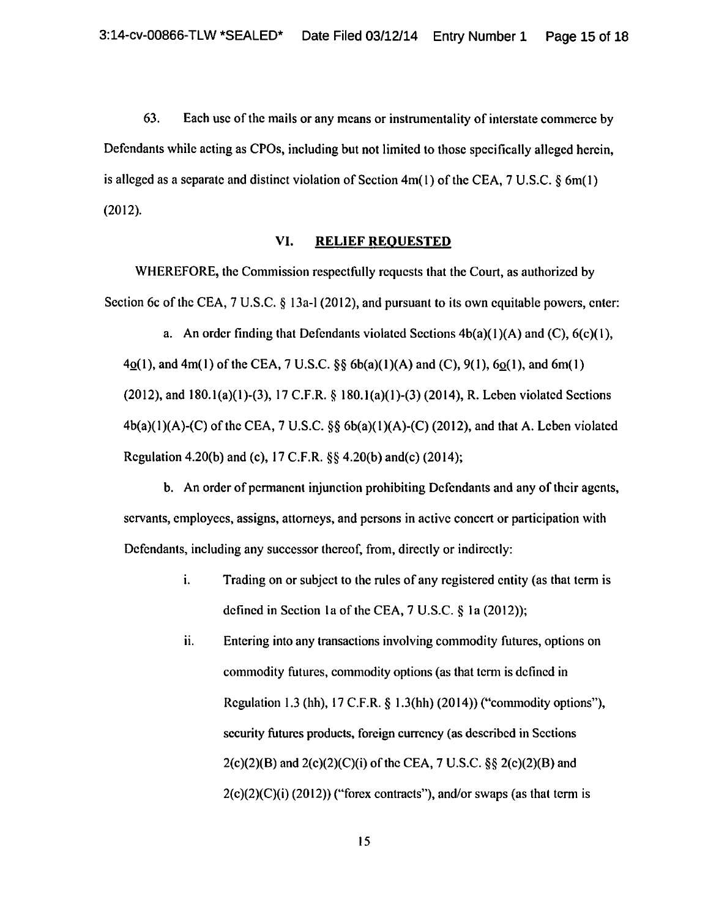63. Each usc of the mails or any means or instrumentality of interstate commerce by Defendants while acting as CPOs, including but not limited to those specifically alleged herein, is alleged as a separate and distinct violation of Section 4m( I) of the CEA, 7 U .S.C. *§* 6m( 1) (2012).

#### VI. RELIEF REQUESTED

WHEREFORE, the Commission respectfully requests that the Court, as authorized by Section 6c of the CEA, 7 U.S.C. § 13a-1 (2012), and pursuant to its own equitable powers, enter:

a. An order finding that Defendants violated Sections  $4b(a)(1)(A)$  and  $(C)$ ,  $6(c)(1)$ ,  $4Q(1)$ , and  $4m(1)$  of the CEA, 7 U.S.C. §§ 6b(a)(1)(A) and (C), 9(1), 6 $Q(1)$ , and 6m(1)</u> (2012), and 180.l(a)(l)-(3), 17 C.F.R. § 180.l(a)(l)-(3) (2014), R. Leben violated Sections  $4b(a)(1)(A)-(C)$  of the CEA, 7 U.S.C. §§  $6b(a)(1)(A)-(C)$  (2012), and that A. Leben violated Regulation 4.20(b) and (c), 17 C.F.R.  $\S$  4.20(b) and(c) (2014);

b. An order of permanent injunction prohibiting Defendants and any of their agents, servants, employees, assigns, attorneys, and persons in active concert or participation with Defendants, including any successor thereof, from, directly or indirectly:

- 1. Trading on or subject to the rules of any registered entity (as that term is defined in Section Ia of the CEA, 7 U.S.C. § Ia (2012));
- ii. Entering into any transactions involving commodity futures, options on commodity futures, commodity options (as that term is defined in Regulation 1.3 (hh), 17 C.F.R. § l.3(hh) (2014)) ("commodity options"), security futures products, foreign currency (as described in Sections  $2(c)(2)(B)$  and  $2(c)(2)(C)(i)$  of the CEA, 7 U.S.C. §§  $2(c)(2)(B)$  and  $2(c)(2)(C)(i)$  (2012)) ("forex contracts"), and/or swaps (as that term is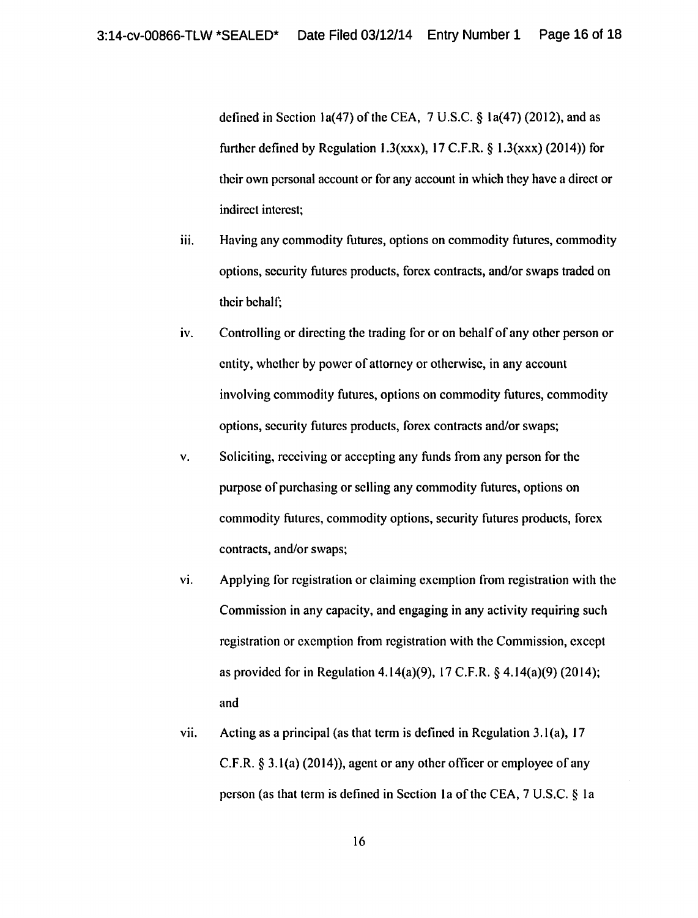defined in Section 1a(47) of the CEA,  $7 \text{ U.S.C.}$  § 1a(47) (2012), and as further defined by Regulation 1.3(xxx), 17 C.F.R.  $\&$  1.3(xxx) (2014)) for their own personal account or for any account in which they have a direct or indirect interest;

- iii. Having any commodity futures, options on commodity futures, commodity options, security futures products, forex contracts, and/or swaps traded on their behalf;
- iv. Controlling or directing the trading for or on behalf of any other person or entity, whether by power of attorney or otherwise, in any account involving commodity futures, options on commodity futures, commodity options, security futures products, forex contracts and/or swaps;
- v. Soliciting, receiving or accepting any funds from any person for the purpose of purchasing or selling any commodity futures, options on commodity futures, commodity options, security futures products, forex contracts, and/or swaps;
- vi. Applying for registration or claiming exemption from registration with the Commission in any capacity, and engaging in any activity requiring such registration or exemption from registration with the Commission, except as provided for in Regulation 4.14(a)(9), 17 C.F.R. § 4.14(a)(9) (2014); and
- vii. Acting as a principal (as that term is defined in Regulation 3.1(a), 17 C.F.R. § 3.l(a) (2014)), agent or any other officer or employee of any person (as that term is defined in Section 1a of the CEA,  $7 U.S.C. \S$  1a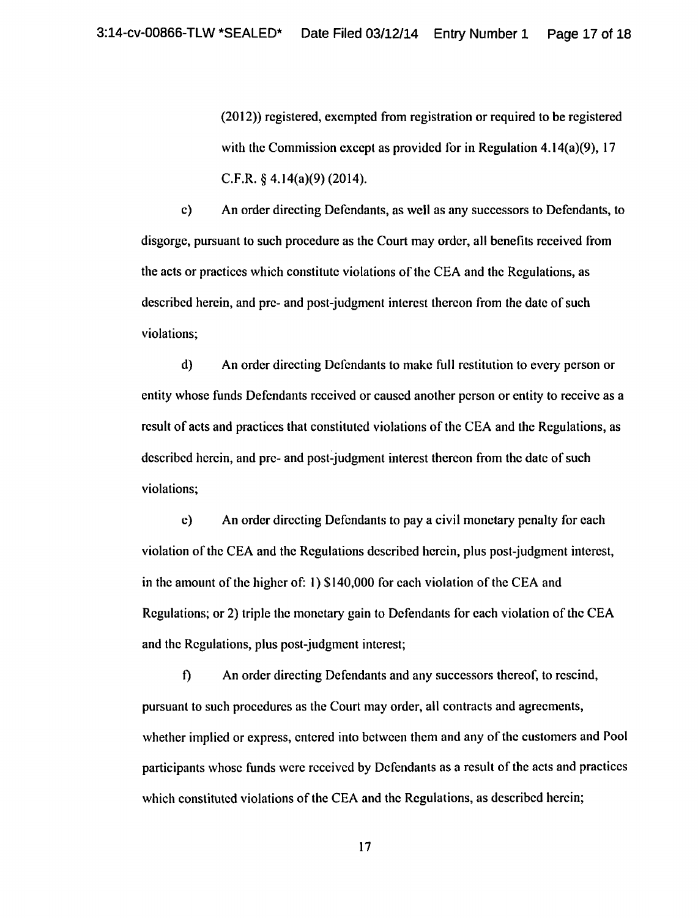(20 12)) registered, exempted from registration or required to be registered with the Commission except as provided for in Regulation 4.14(a)(9), 17 C.F.R. § 4.14(a)(9) (2014).

c) An order directing Defendants, as well as any successors to Defendants, to disgorge, pursuant to such procedure as the Court may order, all benefits received from the acts or practices which constitute violations of the CEA and the Regulations, as described herein, and pre- and post-judgment interest thereon from the date of such violations;

d) An order directing Defendants to make full restitution to every person or entity whose funds Defendants received or caused another person or entity to receive as a result of acts and practices that constituted violations of the CEA and the Regulations, as described herein, and pre- and post-judgment interest thereon from the date of such violations;

c) An order directing Defendants to pay a civil monetary penalty for each violation of the CEA and the Regulations described herein, plus post-judgment interest, in the amount of the higher of: I) \$140,000 for each violation of the CEA and Regulations; or 2) triple the monetary gain to Defendants for each violation of the CEA and the Regulations, plus post-judgment interest;

f) An order directing Defendants and any successors thereof, to rescind, pursuant to such procedures as the Court may order, all contracts and agreements, whether implied or express, entered into between them and any of the customers and Pool participants whose funds were received by Defendants as a result of the acts and practices which constituted violations of the CEA and the Regulations, as described herein;